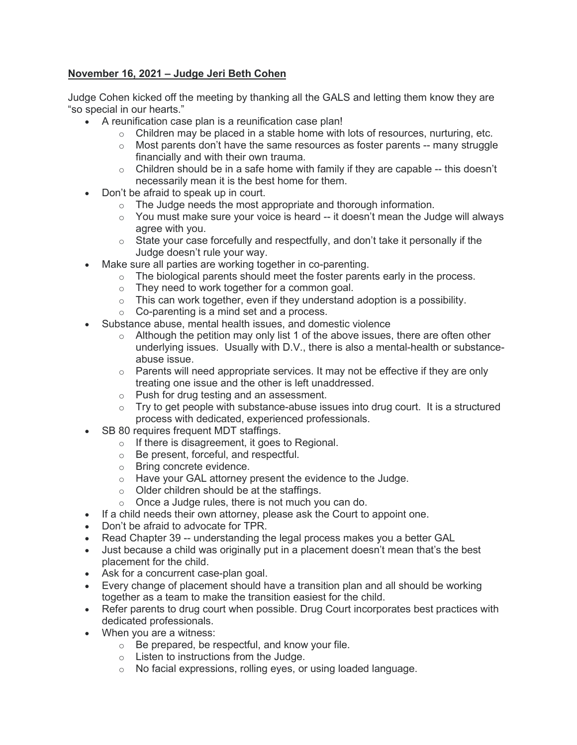## **November 16, 2021 – Judge Jeri Beth Cohen**

Judge Cohen kicked off the meeting by thanking all the GALS and letting them know they are "so special in our hearts."

- A reunification case plan is a reunification case plan!
	- $\circ$  Children may be placed in a stable home with lots of resources, nurturing, etc.
	- o Most parents don't have the same resources as foster parents -- many struggle financially and with their own trauma.
	- $\circ$  Children should be in a safe home with family if they are capable -- this doesn't necessarily mean it is the best home for them.
- Don't be afraid to speak up in court.
	- o The Judge needs the most appropriate and thorough information.
	- $\circ$  You must make sure your voice is heard -- it doesn't mean the Judge will always agree with you.
	- $\circ$  State your case forcefully and respectfully, and don't take it personally if the Judge doesn't rule your way.
- Make sure all parties are working together in co-parenting.
	- $\circ$  The biological parents should meet the foster parents early in the process.
		- o They need to work together for a common goal.
		- $\circ$  This can work together, even if they understand adoption is a possibility.
		- $\circ$  Co-parenting is a mind set and a process.
- Substance abuse, mental health issues, and domestic violence
	- $\circ$  Although the petition may only list 1 of the above issues, there are often other underlying issues. Usually with D.V., there is also a mental-health or substanceabuse issue.
	- o Parents will need appropriate services. It may not be effective if they are only treating one issue and the other is left unaddressed.
	- o Push for drug testing and an assessment.
	- $\circ$  Try to get people with substance-abuse issues into drug court. It is a structured process with dedicated, experienced professionals.
- SB 80 requires frequent MDT staffings.
	- o If there is disagreement, it goes to Regional.
	- o Be present, forceful, and respectful.
	- o Bring concrete evidence.
	- o Have your GAL attorney present the evidence to the Judge.
	- o Older children should be at the staffings.
	- o Once a Judge rules, there is not much you can do.
- If a child needs their own attorney, please ask the Court to appoint one.
- Don't be afraid to advocate for TPR.
- Read Chapter 39 -- understanding the legal process makes you a better GAL
- Just because a child was originally put in a placement doesn't mean that's the best placement for the child.
- Ask for a concurrent case-plan goal.
- Every change of placement should have a transition plan and all should be working together as a team to make the transition easiest for the child.
- Refer parents to drug court when possible. Drug Court incorporates best practices with dedicated professionals.
- When you are a witness:
	- o Be prepared, be respectful, and know your file.
	- o Listen to instructions from the Judge.
	- o No facial expressions, rolling eyes, or using loaded language.